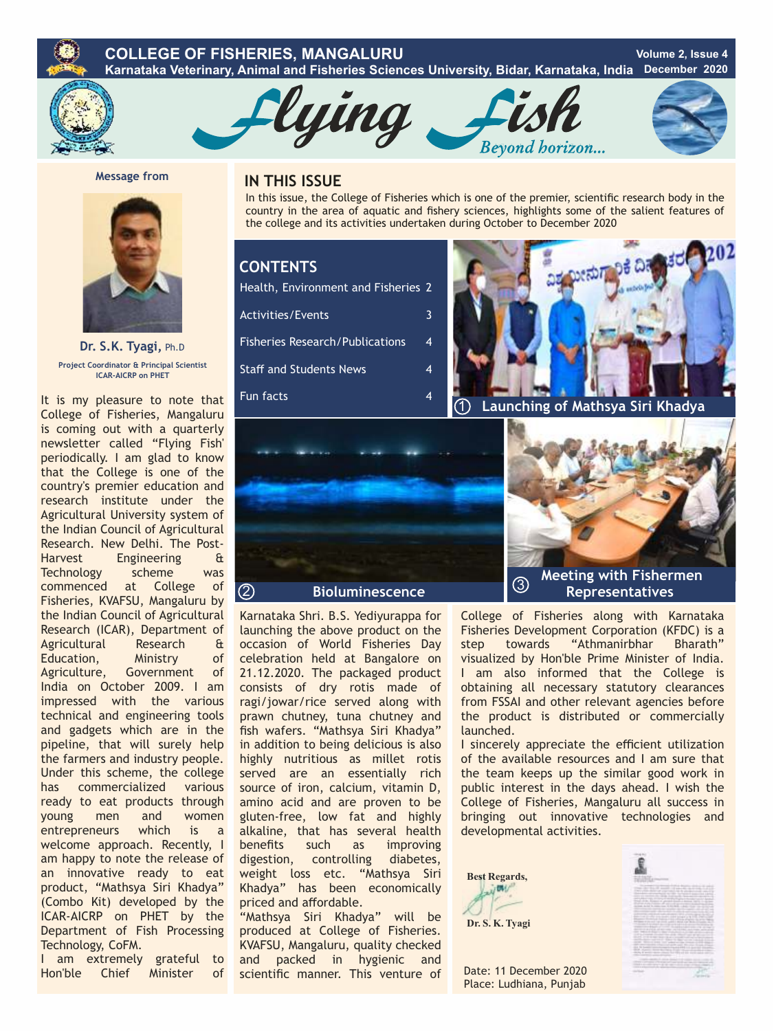#### **COLLEGE OF FISHERIES, MANGALURU Karnataka Veterinary, Animal and Fisheries Sciences University, Bidar, Karnataka, India Volume 2, Issue 4 December 2020**



lying





**Message from** 



**Dr. S.K. Tyagi,** Ph.D **Project Coordinator & Principal Scientist ICAR-AICRP on PHET**

It is my pleasure to note that College of Fisheries, Mangaluru is coming out with a quarterly newsletter called "Flying Fish' periodically. I am glad to know that the College is one of the country's premier education and research institute under the Agricultural University system of the Indian Council of Agricultural Research. New Delhi. The Post-Harvest Engineering & Technology scheme was commenced at College of Fisheries, KVAFSU, Mangaluru by the Indian Council of Agricultural Research (ICAR), Department of Agricultural Research & Education, Ministry of Agriculture, Government of India on October 2009. I am impressed with the various technical and engineering tools and gadgets which are in the pipeline, that will surely help the farmers and industry people. Under this scheme, the college has commercialized various ready to eat products through young men and women entrepreneurs which is a welcome approach. Recently, I am happy to note the release of an innovative ready to eat product, "Mathsya Siri Khadya" (Combo Kit) developed by the ICAR-AICRP on PHET by the Department of Fish Processing Technology, CoFM.

I am extremely grateful to Hon'ble Chief Minister of

## **IN THIS ISSUE**

In this issue, the College of Fisheries which is one of the premier, scientific research body in the country in the area of aquatic and fishery sciences, highlights some of the salient features of the college and its activities undertaken during October to December 2020

## **CONTENTS**

| Health, Environment and Fisheries 2    |   |
|----------------------------------------|---|
| <b>Activities/Events</b>               | 3 |
| <b>Fisheries Research/Publications</b> | 4 |
| <b>Staff and Students News</b>         | 4 |
| <b>Fun facts</b>                       | 4 |





Karnataka Shri. B.S. Yediyurappa for launching the above product on the occasion of World Fisheries Day celebration held at Bangalore on 21.12.2020. The packaged product consists of dry rotis made of ragi/jowar/rice served along with prawn chutney, tuna chutney and fish wafers. "Mathsya Siri Khadya" in addition to being delicious is also highly nutritious as millet rotis served are an essentially rich source of iron, calcium, vitamin D, amino acid and are proven to be gluten-free, low fat and highly alkaline, that has several health benefits such as improving digestion, controlling diabetes, weight loss etc. "Mathsya Siri Khadya" has been economically priced and affordable. "Mathsya Siri Khadya" will be

produced at College of Fisheries. KVAFSU, Mangaluru, quality checked and packed in hygienic and scientific manner. This venture of

College of Fisheries along with Karnataka Fisheries Development Corporation (KFDC) is a step towards "Athmanirbhar Bharath" visualized by Hon'ble Prime Minister of India. I am also informed that the College is obtaining all necessary statutory clearances from FSSAI and other relevant agencies before the product is distributed or commercially launched.

I sincerely appreciate the efficient utilization of the available resources and I am sure that the team keeps up the similar good work in public interest in the days ahead. I wish the College of Fisheries, Mangaluru all success in bringing out innovative technologies and developmental activities.





Date: 11 December 2020 Place: Ludhiana, Punjab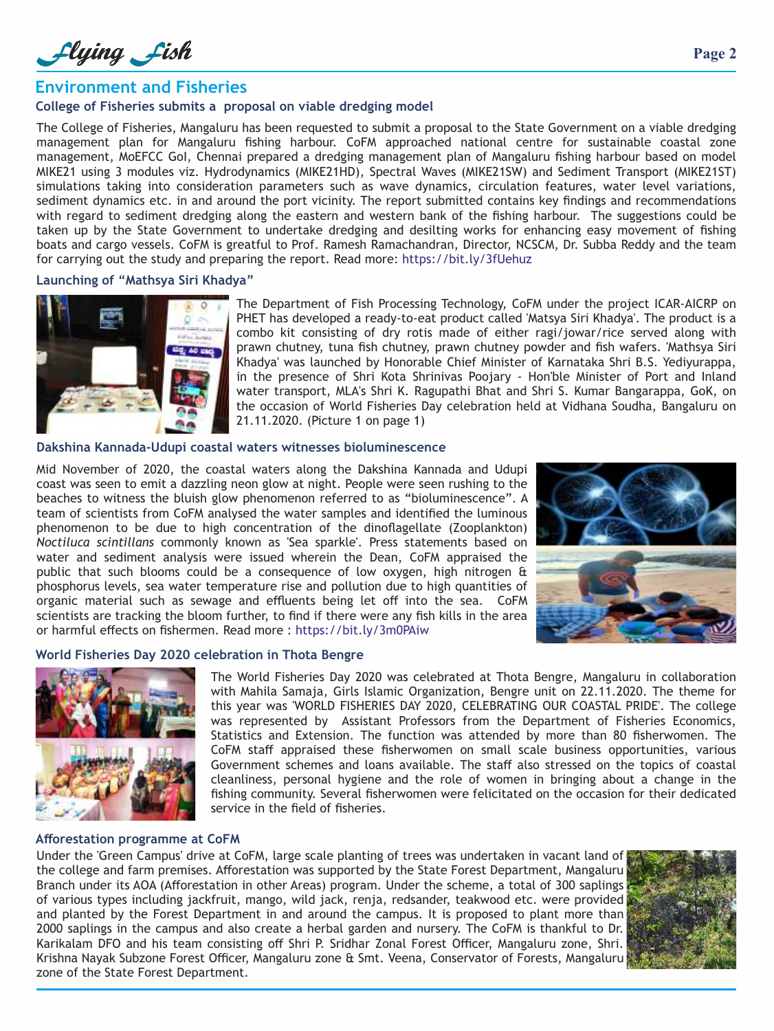Llying Lish

## **Environment and Fisheries**

#### **College of Fisheries submits a proposal on viable dredging model**

The College of Fisheries, Mangaluru has been requested to submit a proposal to the State Government on a viable dredging management plan for Mangaluru fishing harbour. CoFM approached national centre for sustainable coastal zone management, MoEFCC GoI, Chennai prepared a dredging management plan of Mangaluru fishing harbour based on model MIKE21 using 3 modules viz. Hydrodynamics (MIKE21HD), Spectral Waves (MIKE21SW) and Sediment Transport (MIKE21ST) simulations taking into consideration parameters such as wave dynamics, circulation features, water level variations, sediment dynamics etc. in and around the port vicinity. The report submitted contains key findings and recommendations with regard to sediment dredging along the eastern and western bank of the fishing harbour. The suggestions could be taken up by the State Government to undertake dredging and desilting works for enhancing easy movement of fishing boats and cargo vessels. CoFM is greatful to Prof. Ramesh Ramachandran, Director, NCSCM, Dr. Subba Reddy and the team for carrying out the study and preparing the report. Read more: https://bit.ly/3fUehuz

#### **Launching of "Mathsya Siri Khadya"**



The Department of Fish Processing Technology, CoFM under the project ICAR-AICRP on PHET has developed a ready-to-eat product called 'Matsya Siri Khadya'. The product is a combo kit consisting of dry rotis made of either ragi/jowar/rice served along with prawn chutney, tuna fish chutney, prawn chutney powder and fish wafers. 'Mathsya Siri Khadya' was launched by Honorable Chief Minister of Karnataka Shri B.S. Yediyurappa, in the presence of Shri Kota Shrinivas Poojary - Hon'ble Minister of Port and Inland water transport, MLA's Shri K. Ragupathi Bhat and Shri S. Kumar Bangarappa, GoK, on the occasion of World Fisheries Day celebration held at Vidhana Soudha, Bangaluru on 21.11.2020. (Picture 1 on page 1)

#### **Dakshina Kannada-Udupi coastal waters witnesses bioluminescence**

Mid November of 2020, the coastal waters along the Dakshina Kannada and Udupi coast was seen to emit a dazzling neon glow at night. People were seen rushing to the beaches to witness the bluish glow phenomenon referred to as "bioluminescence". A team of scientists from CoFM analysed the water samples and identified the luminous phenomenon to be due to high concentration of the dinoflagellate (Zooplankton) *Noctiluca scintillans* commonly known as 'Sea sparkle'. Press statements based on water and sediment analysis were issued wherein the Dean, CoFM appraised the public that such blooms could be a consequence of low oxygen, high nitrogen & phosphorus levels, sea water temperature rise and pollution due to high quantities of organic material such as sewage and effluents being let off into the sea. CoFM scientists are tracking the bloom further, to find if there were any fish kills in the area or harmful effects on fishermen. Read more : https://bit.ly/3m0PAiw



#### **World Fisheries Day 2020 celebration in Thota Bengre**



The World Fisheries Day 2020 was celebrated at Thota Bengre, Mangaluru in collaboration with Mahila Samaja, Girls Islamic Organization, Bengre unit on 22.11.2020. The theme for this year was 'WORLD FISHERIES DAY 2020, CELEBRATING OUR COASTAL PRIDE'. The college was represented by Assistant Professors from the Department of Fisheries Economics, Statistics and Extension. The function was attended by more than 80 fisherwomen. The CoFM staff appraised these fisherwomen on small scale business opportunities, various Government schemes and loans available. The staff also stressed on the topics of coastal cleanliness, personal hygiene and the role of women in bringing about a change in the fishing community. Several fisherwomen were felicitated on the occasion for their dedicated service in the field of fisheries.

#### **Afforestation programme at CoFM**

Under the 'Green Campus' drive at CoFM, large scale planting of trees was undertaken in vacant land of the college and farm premises. Afforestation was supported by the State Forest Department, Mangaluru Branch under its AOA (Afforestation in other Areas) program. Under the scheme, a total of 300 saplings of various types including jackfruit, mango, wild jack, renja, redsander, teakwood etc. were provided and planted by the Forest Department in and around the campus. It is proposed to plant more than 2000 saplings in the campus and also create a herbal garden and nursery. The CoFM is thankful to Dr. Karikalam DFO and his team consisting off Shri P. Sridhar Zonal Forest Officer, Mangaluru zone, Shri. Krishna Nayak Subzone Forest Officer, Mangaluru zone & Smt. Veena, Conservator of Forests, Mangaluru zone of the State Forest Department.

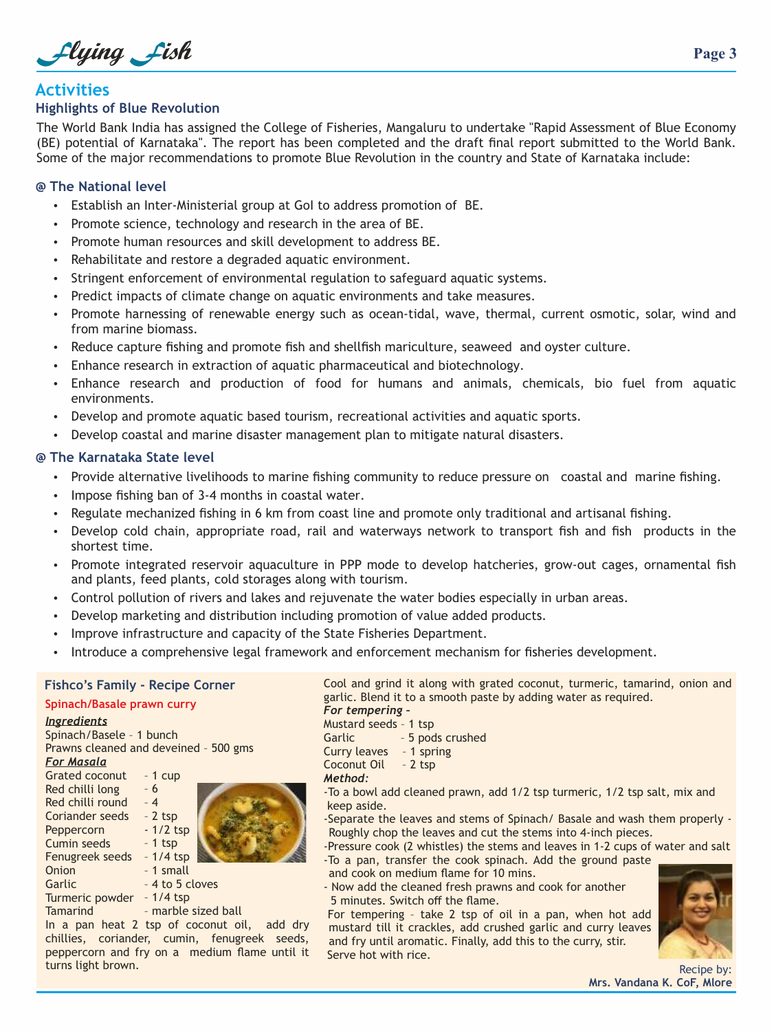Llying Lish

## **Activities**

#### **Highlights of Blue Revolution**

The World Bank India has assigned the College of Fisheries, Mangaluru to undertake "Rapid Assessment of Blue Economy (BE) potential of Karnataka''. The report has been completed and the draft final report submitted to the World Bank. Some of the major recommendations to promote Blue Revolution in the country and State of Karnataka include:

#### **@ The National level**

- Establish an Inter-Ministerial group at GoI to address promotion of BE.
- Promote science, technology and research in the area of BE.
- Promote human resources and skill development to address BE.
- Rehabilitate and restore a degraded aquatic environment.
- Stringent enforcement of environmental regulation to safeguard aquatic systems.
- Predict impacts of climate change on aquatic environments and take measures.
- Promote harnessing of renewable energy such as ocean-tidal, wave, thermal, current osmotic, solar, wind and from marine biomass.
- Reduce capture fishing and promote fish and shellfish mariculture, seaweed and ovster culture.
- Enhance research in extraction of aquatic pharmaceutical and biotechnology.
- Enhance research and production of food for humans and animals, chemicals, bio fuel from aquatic environments.
- Develop and promote aquatic based tourism, recreational activities and aquatic sports.
- Develop coastal and marine disaster management plan to mitigate natural disasters.

#### **@ The Karnataka State level**

- Provide alternative livelihoods to marine fishing community to reduce pressure on coastal and marine fishing.
- Impose fishing ban of 3-4 months in coastal water.
- Regulate mechanized fishing in 6 km from coast line and promote only traditional and artisanal fishing.
- Develop cold chain, appropriate road, rail and waterways network to transport fish and fish products in the shortest time.
- Promote integrated reservoir aquaculture in PPP mode to develop hatcheries, grow-out cages, ornamental fish and plants, feed plants, cold storages along with tourism.
- Control pollution of rivers and lakes and rejuvenate the water bodies especially in urban areas.
- Develop marketing and distribution including promotion of value added products.
- Improve infrastructure and capacity of the State Fisheries Department.
- Introduce a comprehensive legal framework and enforcement mechanism for fisheries development.

#### **Fishco's Family - Recipe Corner**

## **Spinach/Basale prawn curry**

#### *Ingredients* Spinach/Basele – 1 bunch Prawns cleaned and deveined – 500 gms Grated coconut *For Masala* Red chilli long Red chilli round – 4 Coriander seeds **Peppercorn** - 1/2 tsp – 1 cup – 6 – 2 tsp – 1 tsp

Garlic Cumin seeds Fenugreek seeds – 1/4 tsp Onion

**Tamarind** 

- 1 small – 4 to 5 cloves
- Turmeric powder 1/4 tsp
	- marble sized ball

In a pan heat 2 tsp of coconut oil, add dry chillies, coriander, cumin, fenugreek seeds, peppercorn and fry on a medium flame until it turns light brown.

Cool and grind it along with grated coconut, turmeric, tamarind, onion and garlic. Blend it to a smooth paste by adding water as required. *For tempering –*

Mustard seeds – 1 tsp Garlic – 5 pods crushed Curry leaves – 1 spring Coconut Oil – 2 tsp *Method:*

 keep aside. -To a bowl add cleaned prawn, add 1/2 tsp turmeric, 1/2 tsp salt, mix and

-Separate the leaves and stems of Spinach/ Basale and wash them properly - Roughly chop the leaves and cut the stems into 4-inch pieces.

-Pressure cook (2 whistles) the stems and leaves in 1-2 cups of water and salt -To a pan, transfer the cook spinach. Add the ground paste

- and cook on medium flame for 10 mins. - Now add the cleaned fresh prawns and cook for another
- 5 minutes. Switch off the flame.

For tempering – take 2 tsp of oil in a pan, when hot add mustard till it crackles, add crushed garlic and curry leaves and fry until aromatic. Finally, add this to the curry, stir. Serve hot with rice.



Recipe by: **Mrs. Vandana K. CoF, Mlore**